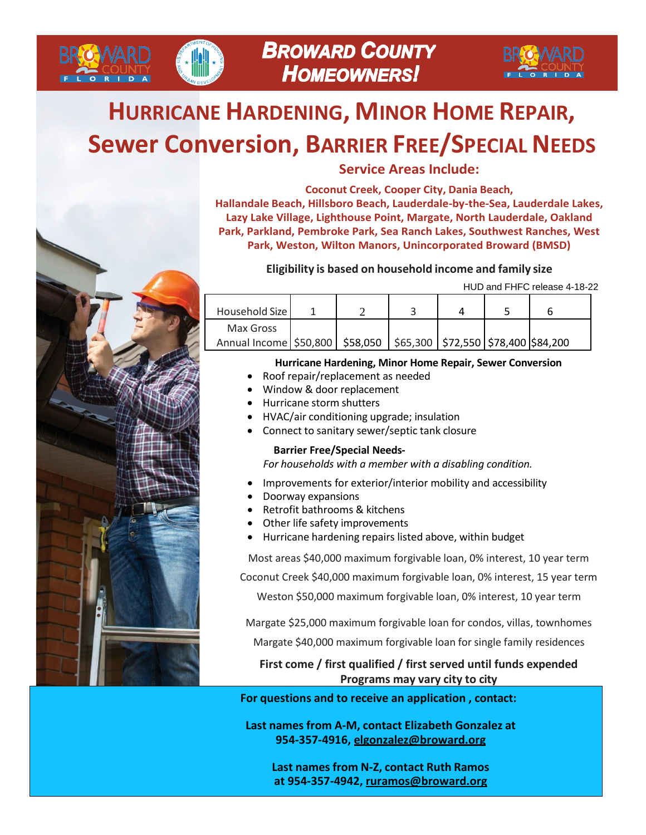

# **HURRICANE HARDENING, MINOR HOME REPAIR, Sewer Conversion, BARRIER FREE/SPECIAL NEEDS**



**BROMARD** 

**Service Areas Include:**

**Coconut Creek, Cooper City, Dania Beach, Hallandale Beach, Hillsboro Beach, Lauderdale-by-the-Sea, Lauderdale Lakes, Lazy Lake Village, Lighthouse Point, Margate, North Lauderdale, Oakland Park, Parkland, Pembroke Park, Sea Ranch Lakes, Southwest Ranches, West Park, Weston, Wilton Manors, Unincorporated Broward (BMSD)**

#### **Eligibility is based on household income and family size**

HUD and FHFC release 4-18-22

| Household Size                                                                  |  |  |  |
|---------------------------------------------------------------------------------|--|--|--|
| Max Gross                                                                       |  |  |  |
| Annual Income   \$50,800   \$58,050   \$65,300   \$72,550   \$78,400   \$84,200 |  |  |  |

#### **Hurricane Hardening, Minor Home Repair, Sewer Conversion**

- Roof repair/replacement as needed
- Window & door replacement
- Hurricane storm shutters
- HVAC/air conditioning upgrade; insulation
- Connect to sanitary sewer/septic tank closure

#### **Barrier Free/Special Needs-**

*For households with a member with a disabling condition.*

- Improvements for exterior/interior mobility and accessibility
- Doorway expansions
- Retrofit bathrooms & kitchens
- Other life safety improvements
- Hurricane hardening repairs listed above, within budget

Most areas \$40,000 maximum forgivable loan, 0% interest, 10 year term

Coconut Creek \$40,000 maximum forgivable loan, 0% interest, 15 year term

Weston \$50,000 maximum forgivable loan, 0% interest, 10 year term

Margate \$25,000 maximum forgivable loan for condos, villas, townhomes

Margate \$40,000 maximum forgivable loan for single family residences

### **First come / first qualified / first served until funds expended Programs may vary city to city**

**For questions and to receive an application , contact:**

**Last names from A-M, contact Elizabeth Gonzalez at 954-357-4916, [elgonzalez@broward.org](mailto:elgonzalez@broward.org)**

**Last names from N-Z, contact Ruth Ramos at 954-357-4942, [ruramos@broward.org](mailto:ruramos@broward.org)**